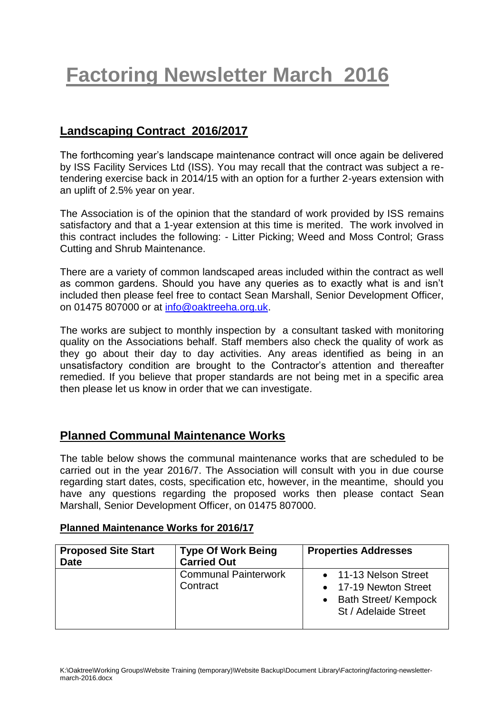# **Factoring Newsletter March 2016**

# **Landscaping Contract 2016/2017**

The forthcoming year's landscape maintenance contract will once again be delivered by ISS Facility Services Ltd (ISS). You may recall that the contract was subject a retendering exercise back in 2014/15 with an option for a further 2-years extension with an uplift of 2.5% year on year.

The Association is of the opinion that the standard of work provided by ISS remains satisfactory and that a 1-year extension at this time is merited. The work involved in this contract includes the following: - Litter Picking; Weed and Moss Control; Grass Cutting and Shrub Maintenance.

There are a variety of common landscaped areas included within the contract as well as common gardens. Should you have any queries as to exactly what is and isn't included then please feel free to contact Sean Marshall, Senior Development Officer, on 01475 807000 or at [info@oaktreeha.org.uk.](mailto:info@oaktreeha.org.uk)

The works are subject to monthly inspection by a consultant tasked with monitoring quality on the Associations behalf. Staff members also check the quality of work as they go about their day to day activities. Any areas identified as being in an unsatisfactory condition are brought to the Contractor's attention and thereafter remedied. If you believe that proper standards are not being met in a specific area then please let us know in order that we can investigate.

## **Planned Communal Maintenance Works**

The table below shows the communal maintenance works that are scheduled to be carried out in the year 2016/7. The Association will consult with you in due course regarding start dates, costs, specification etc, however, in the meantime, should you have any questions regarding the proposed works then please contact Sean Marshall, Senior Development Officer, on 01475 807000.

#### **Planned Maintenance Works for 2016/17**

| <b>Proposed Site Start</b><br><b>Date</b> | <b>Type Of Work Being</b><br><b>Carried Out</b> | <b>Properties Addresses</b>                                                                      |
|-------------------------------------------|-------------------------------------------------|--------------------------------------------------------------------------------------------------|
|                                           | <b>Communal Painterwork</b><br>Contract         | • 11-13 Nelson Street<br>• 17-19 Newton Street<br>• Bath Street/ Kempock<br>St / Adelaide Street |